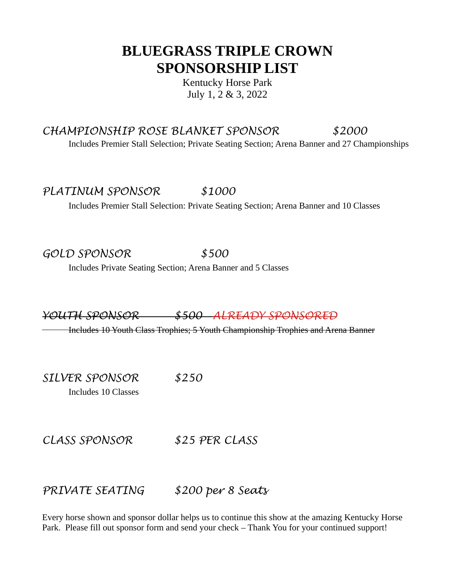## **BLUEGRASS TRIPLE CROWN SPONSORSHIP LIST**

Kentucky Horse Park July 1, 2 & 3, 2022

## *CHAMPIONSHIP ROSE BLANKET SPONSOR \$2000*

Includes Premier Stall Selection; Private Seating Section; Arena Banner and 27 Championships

*PLATINUM SPONSOR \$1000*

Includes Premier Stall Selection: Private Seating Section; Arena Banner and 10 Classes

*GOLD SPONSOR \$500*

Includes Private Seating Section; Arena Banner and 5 Classes

*YOUTH SPONSOR \$500 ALREADY SPONSORED*

Includes 10 Youth Class Trophies; 5 Youth Championship Trophies and Arena Banner

*SILVER SPONSOR \$250* Includes 10 Classes

*CLASS SPONSOR \$25 PER CLASS*

*PRIVATE SEATING \$200 per 8 Seats*

Every horse shown and sponsor dollar helps us to continue this show at the amazing Kentucky Horse Park. Please fill out sponsor form and send your check – Thank You for your continued support!